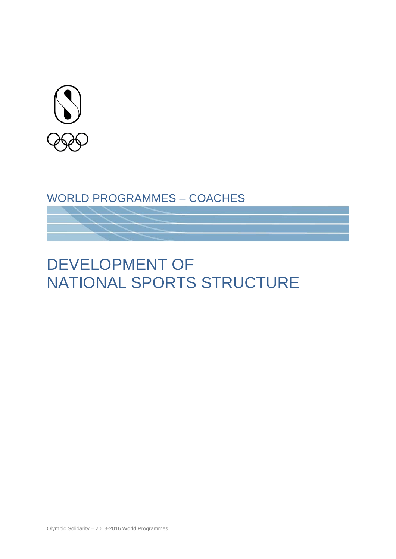

# WORLD PROGRAMMES – COACHES

# DEVELOPMENT OF NATIONAL SPORTS STRUCTURE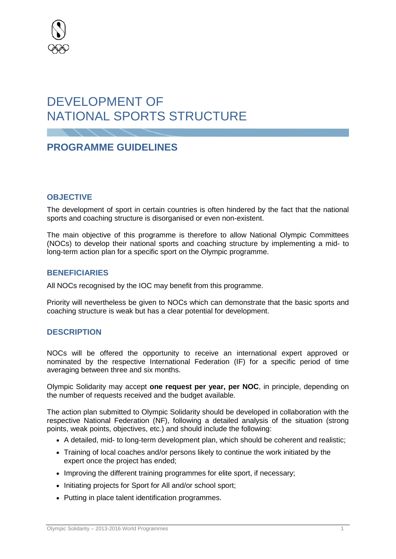

# DEVELOPMENT OF NATIONAL SPORTS STRUCTURE

# **PROGRAMME GUIDELINES**

# **OBJECTIVE**

The development of sport in certain countries is often hindered by the fact that the national sports and coaching structure is disorganised or even non-existent.

The main objective of this programme is therefore to allow National Olympic Committees (NOCs) to develop their national sports and coaching structure by implementing a mid- to long-term action plan for a specific sport on the Olympic programme.

# **BENEFICIARIES**

All NOCs recognised by the IOC may benefit from this programme.

Priority will nevertheless be given to NOCs which can demonstrate that the basic sports and coaching structure is weak but has a clear potential for development.

## **DESCRIPTION**

NOCs will be offered the opportunity to receive an international expert approved or nominated by the respective International Federation (IF) for a specific period of time averaging between three and six months.

Olympic Solidarity may accept **one request per year, per NOC**, in principle, depending on the number of requests received and the budget available.

The action plan submitted to Olympic Solidarity should be developed in collaboration with the respective National Federation (NF), following a detailed analysis of the situation (strong points, weak points, objectives, etc.) and should include the following:

- A detailed, mid- to long-term development plan, which should be coherent and realistic;
- Training of local coaches and/or persons likely to continue the work initiated by the expert once the project has ended;
- Improving the different training programmes for elite sport, if necessary;
- Initiating projects for Sport for All and/or school sport:
- Putting in place talent identification programmes.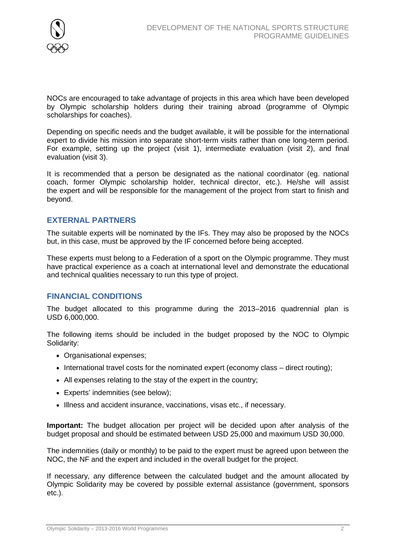

NOCs are encouraged to take advantage of projects in this area which have been developed by Olympic scholarship holders during their training abroad (programme of Olympic scholarships for coaches).

Depending on specific needs and the budget available, it will be possible for the international expert to divide his mission into separate short-term visits rather than one long-term period. For example, setting up the project (visit 1), intermediate evaluation (visit 2), and final evaluation (visit 3).

It is recommended that a person be designated as the national coordinator (eg. national coach, former Olympic scholarship holder, technical director, etc.). He/she will assist the expert and will be responsible for the management of the project from start to finish and beyond.

# **EXTERNAL PARTNERS**

The suitable experts will be nominated by the IFs. They may also be proposed by the NOCs but, in this case, must be approved by the IF concerned before being accepted.

These experts must belong to a Federation of a sport on the Olympic programme. They must have practical experience as a coach at international level and demonstrate the educational and technical qualities necessary to run this type of project.

# **FINANCIAL CONDITIONS**

The budget allocated to this programme during the 2013–2016 quadrennial plan is USD 6,000,000.

The following items should be included in the budget proposed by the NOC to Olympic Solidarity:

- Organisational expenses;
- International travel costs for the nominated expert (economy class direct routing);
- All expenses relating to the stay of the expert in the country;
- Experts' indemnities (see below);
- Illness and accident insurance, vaccinations, visas etc., if necessary.

**Important:** The budget allocation per project will be decided upon after analysis of the budget proposal and should be estimated between USD 25,000 and maximum USD 30,000.

The indemnities (daily or monthly) to be paid to the expert must be agreed upon between the NOC, the NF and the expert and included in the overall budget for the project.

If necessary, any difference between the calculated budget and the amount allocated by Olympic Solidarity may be covered by possible external assistance (government, sponsors etc.).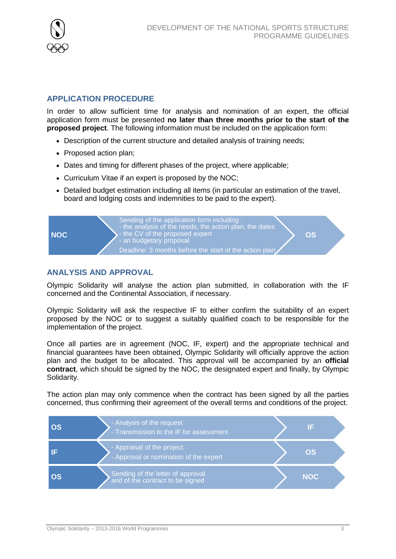

# **APPLICATION PROCEDURE**

In order to allow sufficient time for analysis and nomination of an expert, the official application form must be presented **no later than three months prior to the start of the proposed project**. The following information must be included on the application form:

- Description of the current structure and detailed analysis of training needs;
- Proposed action plan;
- Dates and timing for different phases of the project, where applicable:
- Curriculum Vitae if an expert is proposed by the NOC;
- Detailed budget estimation including all items (in particular an estimation of the travel, board and lodging costs and indemnities to be paid to the expert).



# **ANALYSIS AND APPROVAL**

Olympic Solidarity will analyse the action plan submitted, in collaboration with the IF concerned and the Continental Association, if necessary.

Olympic Solidarity will ask the respective IF to either confirm the suitability of an expert proposed by the NOC or to suggest a suitably qualified coach to be responsible for the implementation of the project.

Once all parties are in agreement (NOC, IF, expert) and the appropriate technical and financial guarantees have been obtained, Olympic Solidarity will officially approve the action plan and the budget to be allocated. This approval will be accompanied by an **official contract**, which should be signed by the NOC, the designated expert and finally, by Olympic Solidarity.

The action plan may only commence when the contract has been signed by all the parties concerned, thus confirming their agreement of the overall terms and conditions of the project.

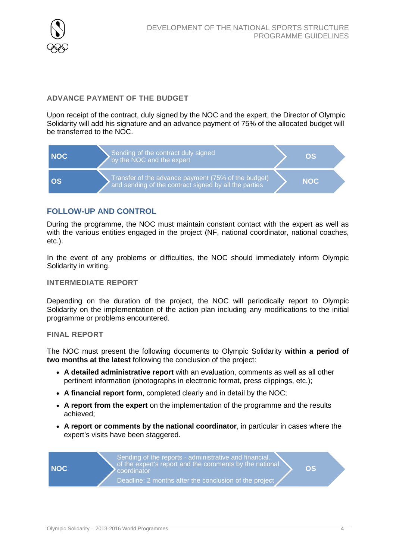

# **ADVANCE PAYMENT OF THE BUDGET**

Upon receipt of the contract, duly signed by the NOC and the expert, the Director of Olympic Solidarity will add his signature and an advance payment of 75% of the allocated budget will be transferred to the NOC.



# **FOLLOW-UP AND CONTROL**

During the programme, the NOC must maintain constant contact with the expert as well as with the various entities engaged in the project (NF, national coordinator, national coaches, etc.).

In the event of any problems or difficulties, the NOC should immediately inform Olympic Solidarity in writing.

### **INTERMEDIATE REPORT**

Depending on the duration of the project, the NOC will periodically report to Olympic Solidarity on the implementation of the action plan including any modifications to the initial programme or problems encountered.

#### **FINAL REPORT**

The NOC must present the following documents to Olympic Solidarity **within a period of two months at the latest** following the conclusion of the project:

- **A detailed administrative report** with an evaluation, comments as well as all other pertinent information (photographs in electronic format, press clippings, etc.);
- **A financial report form**, completed clearly and in detail by the NOC;
- **A report from the expert** on the implementation of the programme and the results achieved;
- **A report or comments by the national coordinator**, in particular in cases where the expert's visits have been staggered.